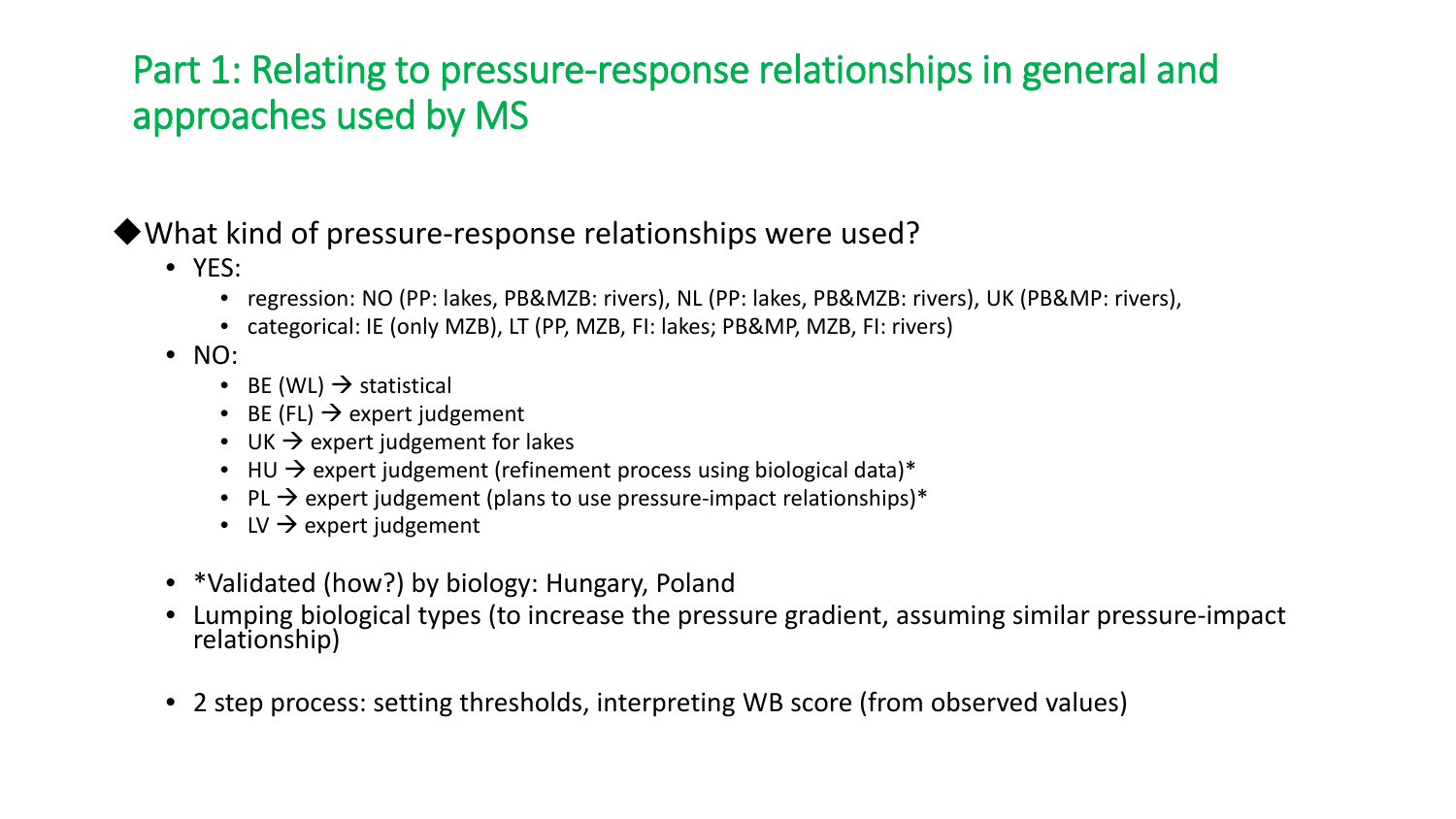#### What kind of pressure-response relationships were used?

- YES:
	- regression: NO (PP: lakes, PB&MZB: rivers), NL (PP: lakes, PB&MZB: rivers), UK (PB&MP: rivers),
	- categorical: IE (only MZB), LT (PP, MZB, FI: lakes; PB&MP, MZB, FI: rivers)
- NO:
	- BE (WL)  $\rightarrow$  statistical
	- BE (FL)  $\rightarrow$  expert judgement
	- UK  $\rightarrow$  expert judgement for lakes
	- HU  $\rightarrow$  expert judgement (refinement process using biological data)\*
	- PL  $\rightarrow$  expert judgement (plans to use pressure-impact relationships)\*
	- LV  $\rightarrow$  expert judgement
- \*Validated (how?) by biology: Hungary, Poland
- Lumping biological types (to increase the pressure gradient, assuming similar pressure-impact relationship)
- 2 step process: setting thresholds, interpreting WB score (from observed values)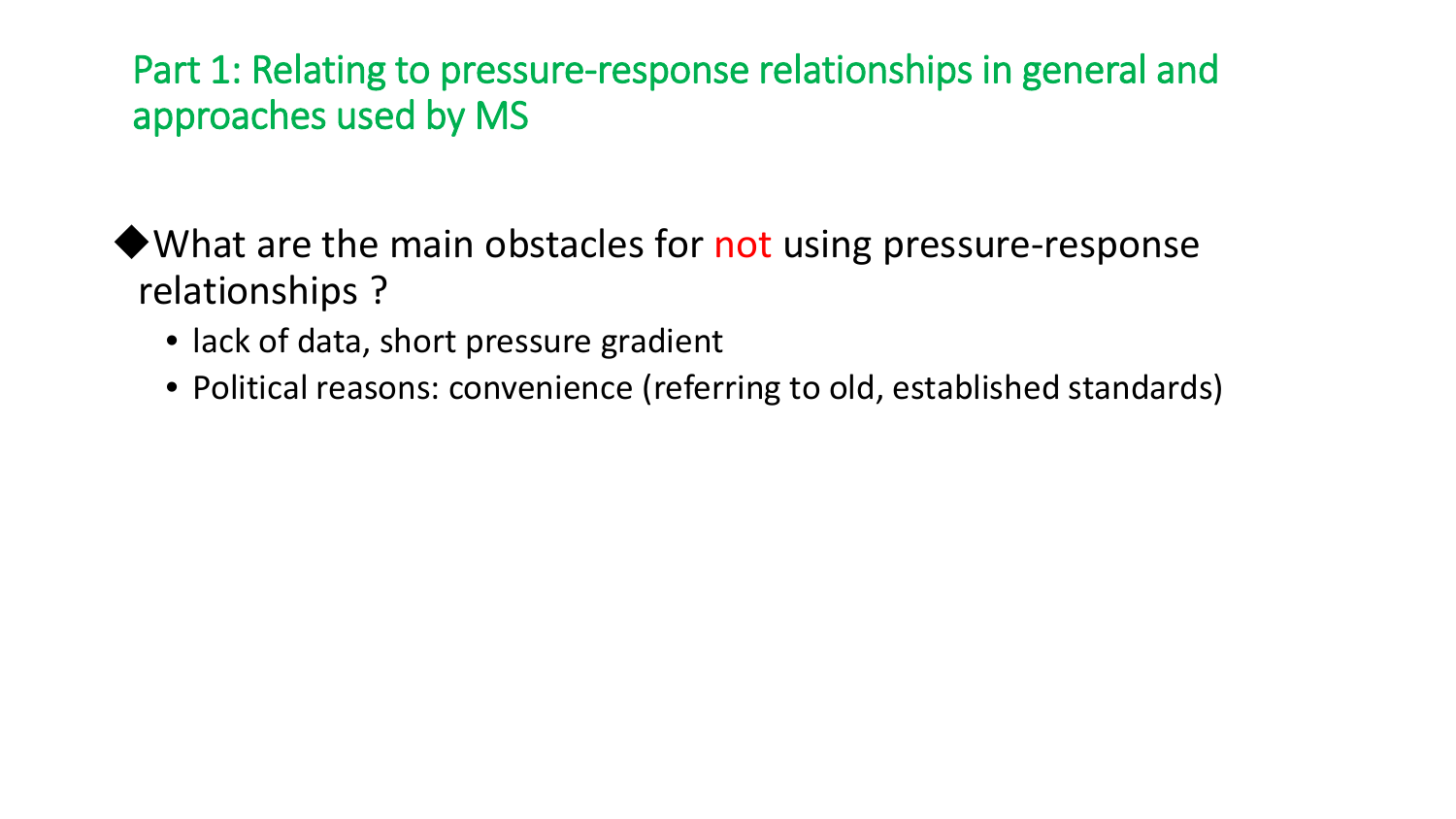$\blacklozenge$  What are the main obstacles for not using pressure-response relationships ?

- lack of data, short pressure gradient
- Political reasons: convenience (referring to old, established standards)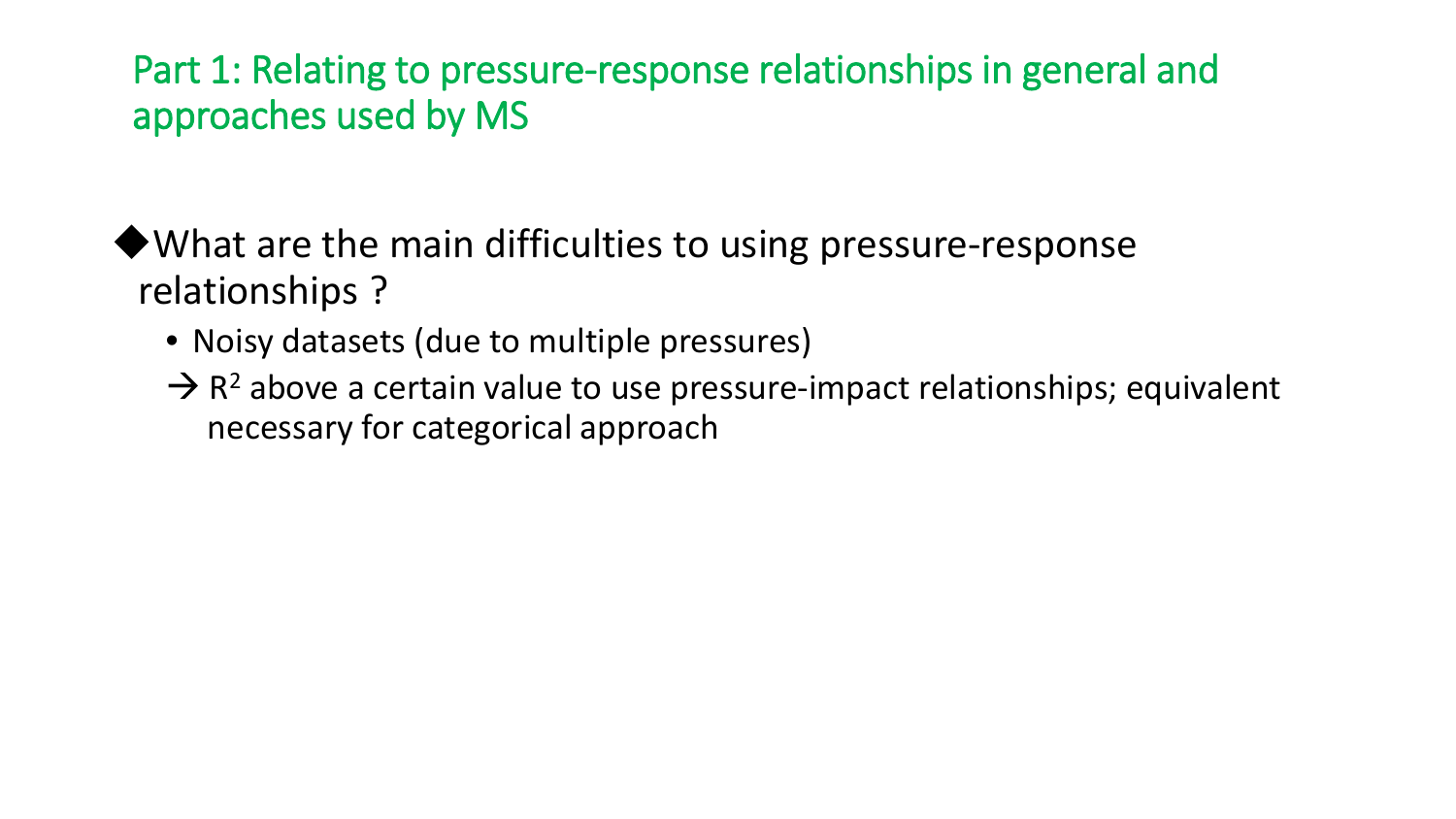◆ What are the main difficulties to using pressure-response relationships ?

- Noisy datasets (due to multiple pressures)
- $\rightarrow$  R<sup>2</sup> above a certain value to use pressure-impact relationships; equivalent necessary for categorical approach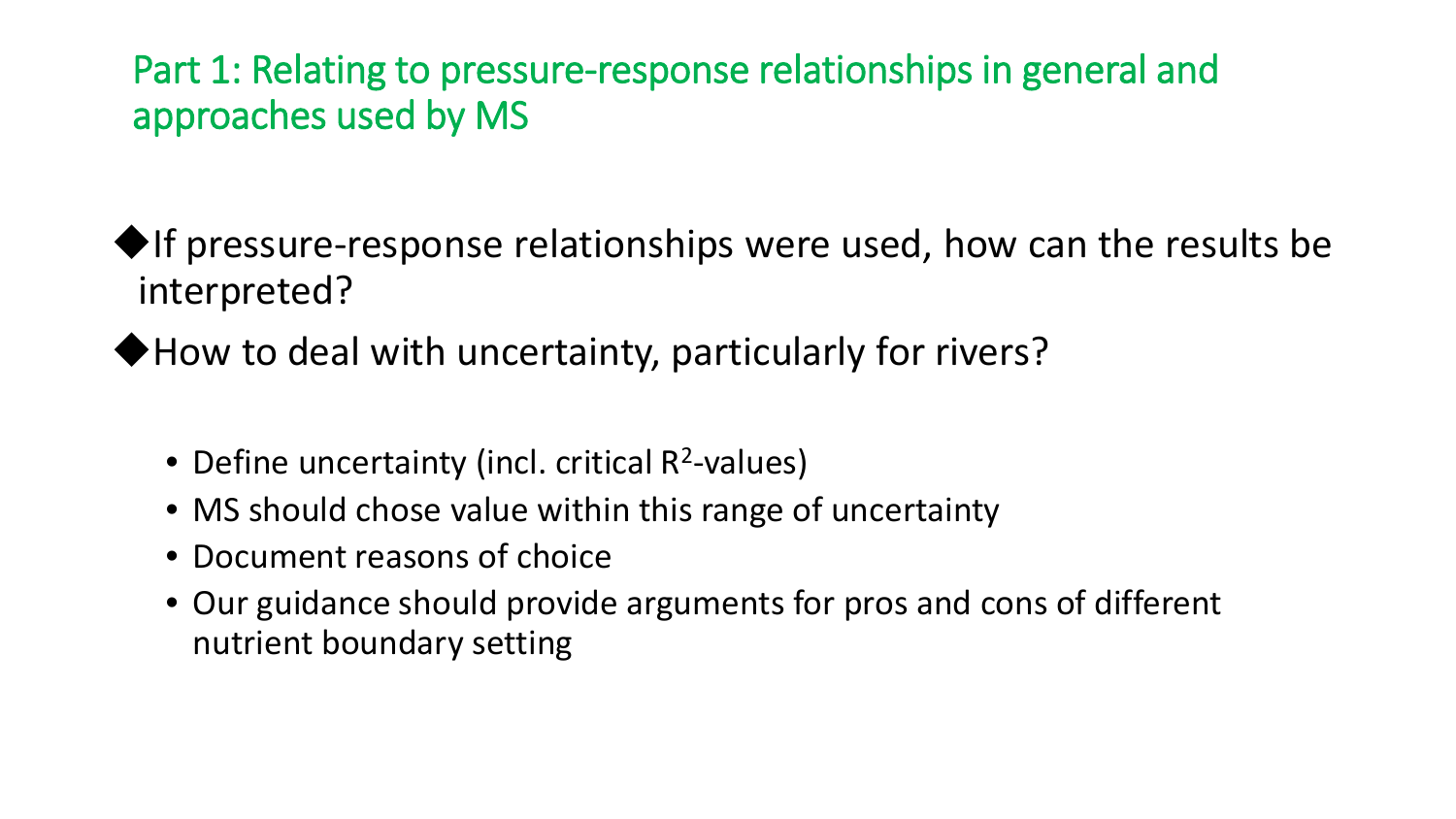$\blacklozenge$ If pressure-response relationships were used, how can the results be interpreted?

◆ How to deal with uncertainty, particularly for rivers?

- Define uncertainty (incl. critical  $R^2$ -values)
- MS should chose value within this range of uncertainty
- Document reasons of choice
- Our guidance should provide arguments for pros and cons of different nutrient boundary setting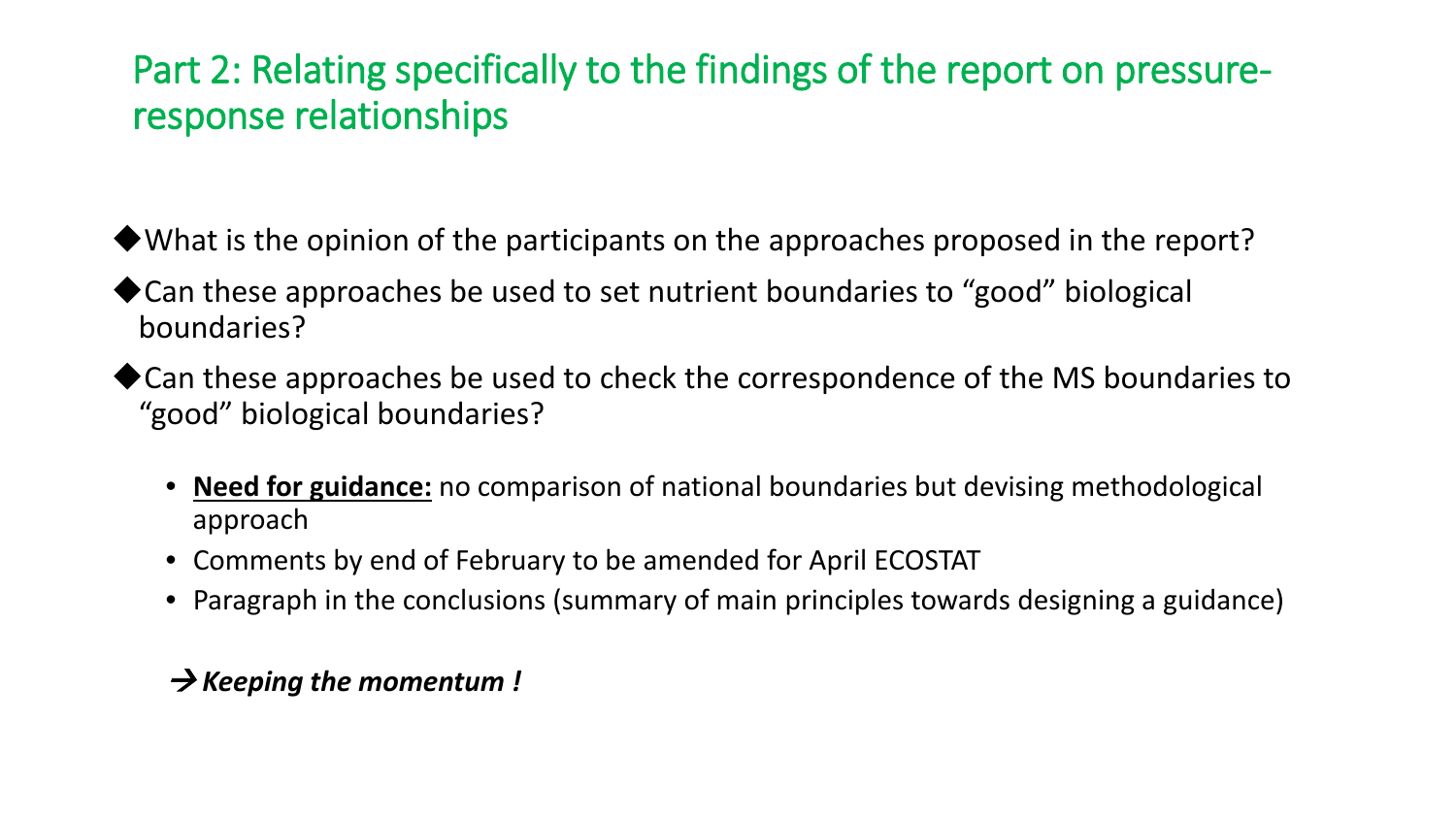### Part 2: Relating specifically to the findings of the report on pressureresponse relationships

What is the opinion of the participants on the approaches proposed in the report?

- ◆ Can these approaches be used to set nutrient boundaries to "good" biological boundaries?
- ◆ Can these approaches be used to check the correspondence of the MS boundaries to "good" biological boundaries?
	- **Need for guidance:** no comparison of national boundaries but devising methodological approach
	- Comments by end of February to be amended for April ECOSTAT
	- Paragraph in the conclusions (summary of main principles towards designing a guidance)

#### *Keeping the momentum !*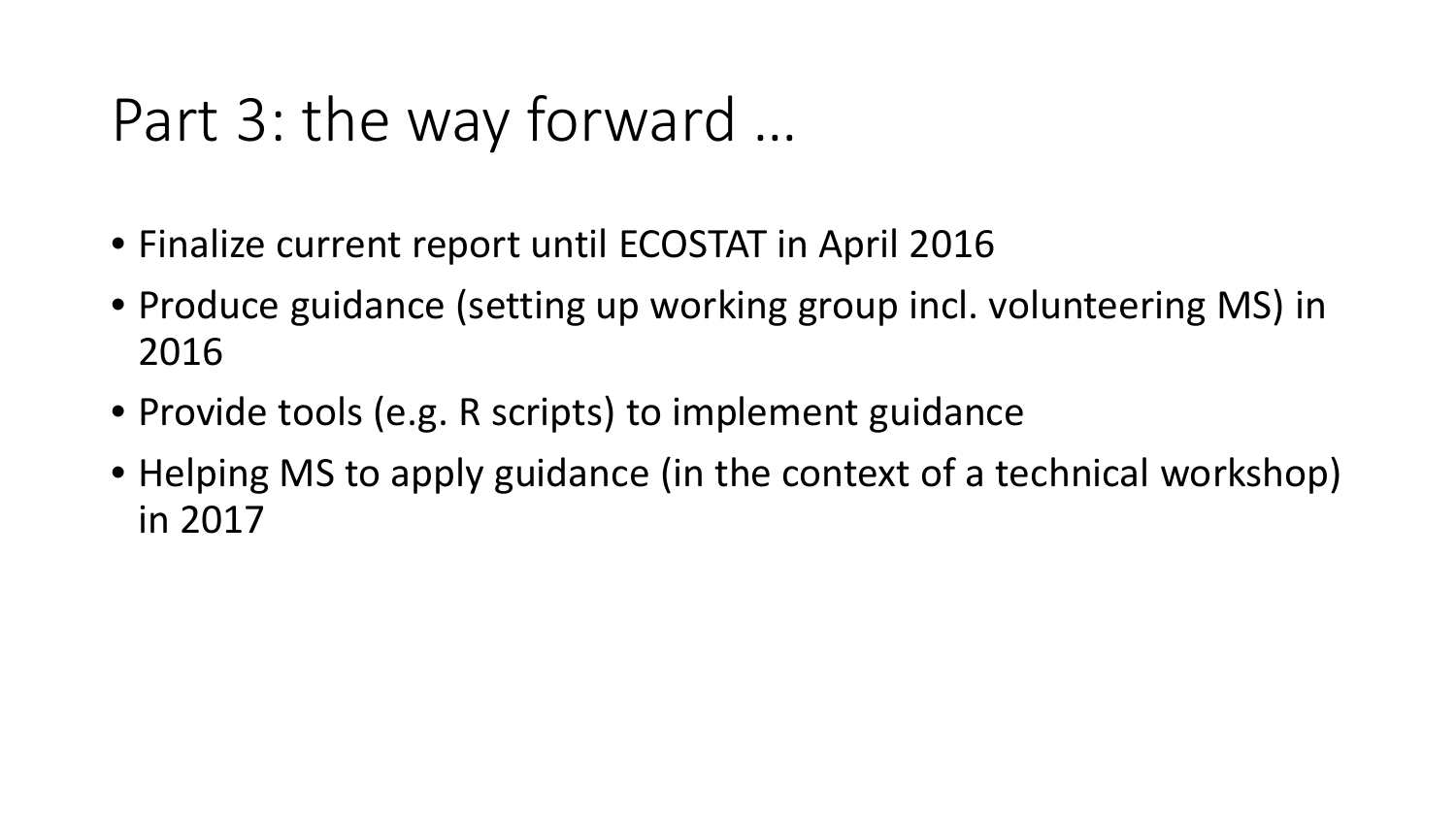# Part 3: the way forward …

- Finalize current report until ECOSTAT in April 2016
- Produce guidance (setting up working group incl. volunteering MS) in 2016
- Provide tools (e.g. R scripts) to implement guidance
- Helping MS to apply guidance (in the context of a technical workshop) in 2017